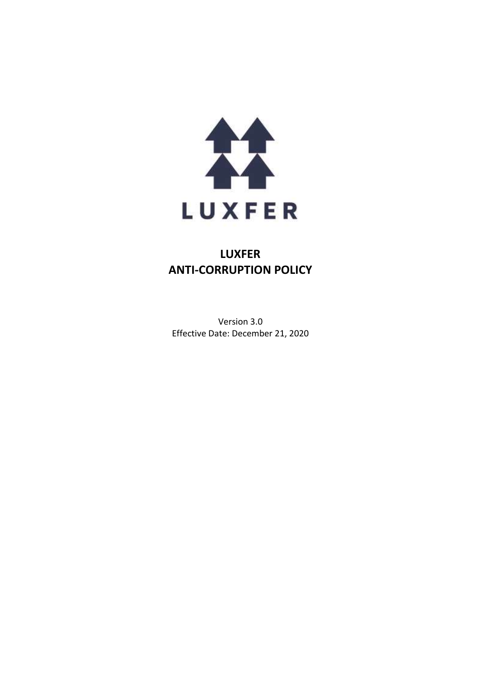

# **LUXFER ANTI-CORRUPTION POLICY**

Version 3.0 Effective Date: December 21, 2020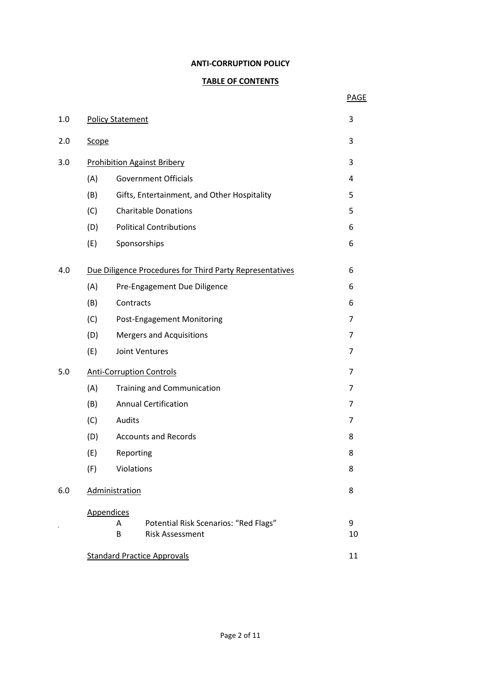### **ANTI-CORRUPTION POLICY**

# **TABLE OF CONTENTS**

PAGE

| 1.0 | <b>Policy Statement</b><br>3                             |                                             |    |
|-----|----------------------------------------------------------|---------------------------------------------|----|
| 2.0 | Scope                                                    |                                             |    |
| 3.0 | <b>Prohibition Against Bribery</b>                       |                                             |    |
|     | (A)                                                      | <b>Government Officials</b>                 | 4  |
|     | (B)                                                      | Gifts, Entertainment, and Other Hospitality | 5  |
|     | (C)                                                      | <b>Charitable Donations</b>                 | 5  |
|     | (D)                                                      | <b>Political Contributions</b>              | 6  |
|     | (E)                                                      | Sponsorships                                | 6  |
| 4.0 | Due Diligence Procedures for Third Party Representatives |                                             |    |
|     | (A)                                                      | Pre-Engagement Due Diligence                | 6  |
|     | (B)                                                      | Contracts                                   | 6  |
|     | (C)                                                      | Post-Engagement Monitoring                  | 7  |
|     | (D)                                                      | <b>Mergers and Acquisitions</b>             | 7  |
|     | (E)                                                      | Joint Ventures                              |    |
| 5.0 | <b>Anti-Corruption Controls</b>                          |                                             |    |
|     | (A)                                                      | <b>Training and Communication</b>           |    |
|     | (B)                                                      | <b>Annual Certification</b>                 |    |
|     | (C)                                                      | Audits                                      |    |
|     | (D)                                                      | <b>Accounts and Records</b>                 |    |
|     | (E)                                                      | Reporting                                   | 8  |
|     | (F)                                                      | Violations                                  | 8  |
| 6.0 | Administration                                           |                                             |    |
|     |                                                          | <b>Appendices</b>                           |    |
|     |                                                          | Potential Risk Scenarios: "Red Flags"<br>A  | 9  |
|     |                                                          | B<br><b>Risk Assessment</b>                 | 10 |
|     | <b>Standard Practice Approvals</b>                       |                                             |    |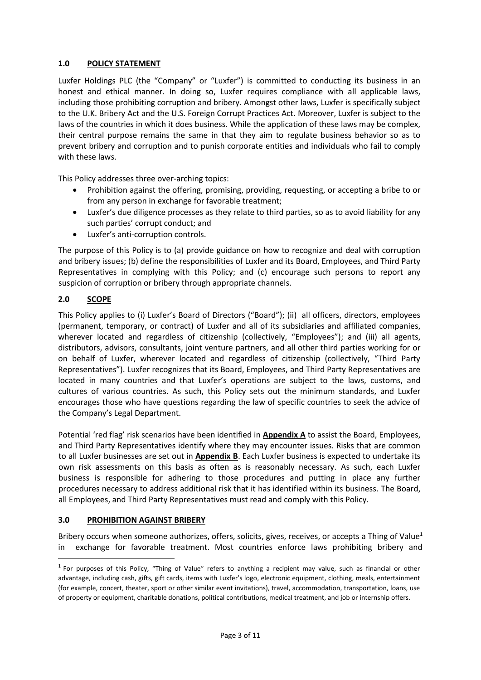## **1.0 POLICY STATEMENT**

Luxfer Holdings PLC (the "Company" or "Luxfer") is committed to conducting its business in an honest and ethical manner. In doing so, Luxfer requires compliance with all applicable laws, including those prohibiting corruption and bribery. Amongst other laws, Luxfer is specifically subject to the U.K. Bribery Act and the U.S. Foreign Corrupt Practices Act. Moreover, Luxfer is subject to the laws of the countries in which it does business. While the application of these laws may be complex, their central purpose remains the same in that they aim to regulate business behavior so as to prevent bribery and corruption and to punish corporate entities and individuals who fail to comply with these laws.

This Policy addresses three over-arching topics:

- Prohibition against the offering, promising, providing, requesting, or accepting a bribe to or from any person in exchange for favorable treatment;
- Luxfer's due diligence processes as they relate to third parties, so as to avoid liability for any such parties' corrupt conduct; and
- Luxfer's anti-corruption controls.

The purpose of this Policy is to (a) provide guidance on how to recognize and deal with corruption and bribery issues; (b) define the responsibilities of Luxfer and its Board, Employees, and Third Party Representatives in complying with this Policy; and (c) encourage such persons to report any suspicion of corruption or bribery through appropriate channels.

## **2.0 SCOPE**

This Policy applies to (i) Luxfer's Board of Directors ("Board"); (ii) all officers, directors, employees (permanent, temporary, or contract) of Luxfer and all of its subsidiaries and affiliated companies, wherever located and regardless of citizenship (collectively, "Employees"); and (iii) all agents, distributors, advisors, consultants, joint venture partners, and all other third parties working for or on behalf of Luxfer, wherever located and regardless of citizenship (collectively, "Third Party Representatives"). Luxfer recognizes that its Board, Employees, and Third Party Representatives are located in many countries and that Luxfer's operations are subject to the laws, customs, and cultures of various countries. As such, this Policy sets out the minimum standards, and Luxfer encourages those who have questions regarding the law of specific countries to seek the advice of the Company's Legal Department.

Potential 'red flag' risk scenarios have been identified in **Appendix A** to assist the Board, Employees, and Third Party Representatives identify where they may encounter issues. Risks that are common to all Luxfer businesses are set out in **Appendix B**. Each Luxfer business is expected to undertake its own risk assessments on this basis as often as is reasonably necessary. As such, each Luxfer business is responsible for adhering to those procedures and putting in place any further procedures necessary to address additional risk that it has identified within its business. The Board, all Employees, and Third Party Representatives must read and comply with this Policy.

## **3.0 PROHIBITION AGAINST BRIBERY**

Bribery occurs when someone authorizes, offers, solicits, gives, receives, or accepts a Thing of Value<sup>1</sup> in exchange for favorable treatment. Most countries enforce laws prohibiting bribery and

 $<sup>1</sup>$  For purposes of this Policy, "Thing of Value" refers to anything a recipient may value, such as financial or other</sup> advantage, including cash, gifts, gift cards, items with Luxfer's logo, electronic equipment, clothing, meals, entertainment (for example, concert, theater, sport or other similar event invitations), travel, accommodation, transportation, loans, use of property or equipment, charitable donations, political contributions, medical treatment, and job or internship offers.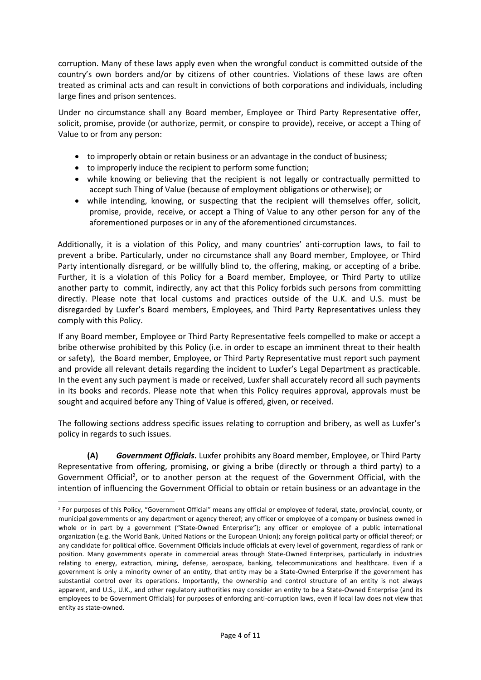corruption. Many of these laws apply even when the wrongful conduct is committed outside of the country's own borders and/or by citizens of other countries. Violations of these laws are often treated as criminal acts and can result in convictions of both corporations and individuals, including large fines and prison sentences.

Under no circumstance shall any Board member, Employee or Third Party Representative offer, solicit, promise, provide (or authorize, permit, or conspire to provide), receive, or accept a Thing of Value to or from any person:

- to improperly obtain or retain business or an advantage in the conduct of business;
- to improperly induce the recipient to perform some function;
- while knowing or believing that the recipient is not legally or contractually permitted to accept such Thing of Value (because of employment obligations or otherwise); or
- while intending, knowing, or suspecting that the recipient will themselves offer, solicit, promise, provide, receive, or accept a Thing of Value to any other person for any of the aforementioned purposes or in any of the aforementioned circumstances.

Additionally, it is a violation of this Policy, and many countries' anti-corruption laws, to fail to prevent a bribe. Particularly, under no circumstance shall any Board member, Employee, or Third Party intentionally disregard, or be willfully blind to, the offering, making, or accepting of a bribe. Further, it is a violation of this Policy for a Board member, Employee, or Third Party to utilize another party to commit, indirectly, any act that this Policy forbids such persons from committing directly. Please note that local customs and practices outside of the U.K. and U.S. must be disregarded by Luxfer's Board members, Employees, and Third Party Representatives unless they comply with this Policy.

If any Board member, Employee or Third Party Representative feels compelled to make or accept a bribe otherwise prohibited by this Policy (i.e. in order to escape an imminent threat to their health or safety), the Board member, Employee, or Third Party Representative must report such payment and provide all relevant details regarding the incident to Luxfer's Legal Department as practicable. In the event any such payment is made or received, Luxfer shall accurately record all such payments in its books and records. Please note that when this Policy requires approval, approvals must be sought and acquired before any Thing of Value is offered, given, or received.

The following sections address specific issues relating to corruption and bribery, as well as Luxfer's policy in regards to such issues.

**(A)** *Government Officials***.** Luxfer prohibits any Board member, Employee, or Third Party Representative from offering, promising, or giving a bribe (directly or through a third party) to a Government Official<sup>2</sup>, or to another person at the request of the Government Official, with the intention of influencing the Government Official to obtain or retain business or an advantage in the

<sup>&</sup>lt;sup>2</sup> For purposes of this Policy, "Government Official" means any official or employee of federal, state, provincial, county, or municipal governments or any department or agency thereof; any officer or employee of a company or business owned in whole or in part by a government ("State-Owned Enterprise"); any officer or employee of a public international organization (e.g. the World Bank, United Nations or the European Union); any foreign political party or official thereof; or any candidate for political office. Government Officials include officials at every level of government, regardless of rank or position. Many governments operate in commercial areas through State-Owned Enterprises, particularly in industries relating to energy, extraction, mining, defense, aerospace, banking, telecommunications and healthcare. Even if a government is only a minority owner of an entity, that entity may be a State-Owned Enterprise if the government has substantial control over its operations. Importantly, the ownership and control structure of an entity is not always apparent, and U.S., U.K., and other regulatory authorities may consider an entity to be a State-Owned Enterprise (and its employees to be Government Officials) for purposes of enforcing anti-corruption laws, even if local law does not view that entity as state-owned.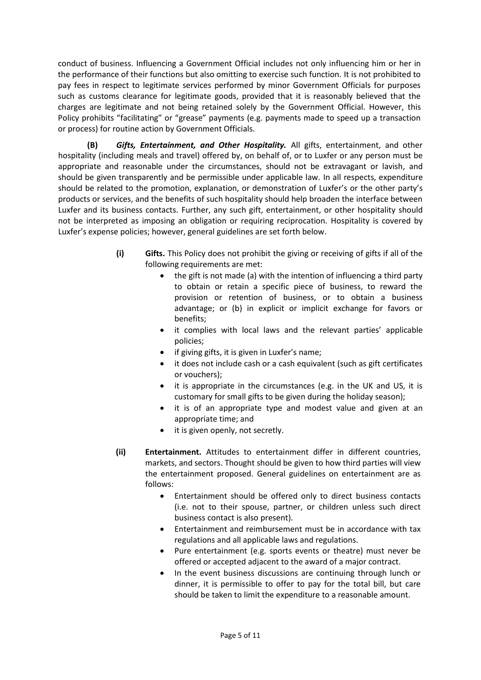conduct of business. Influencing a Government Official includes not only influencing him or her in the performance of their functions but also omitting to exercise such function. It is not prohibited to pay fees in respect to legitimate services performed by minor Government Officials for purposes such as customs clearance for legitimate goods, provided that it is reasonably believed that the charges are legitimate and not being retained solely by the Government Official. However, this Policy prohibits "facilitating" or "grease" payments (e.g. payments made to speed up a transaction or process) for routine action by Government Officials.

**(B)** *Gifts, Entertainment, and Other Hospitality.* All gifts, entertainment, and other hospitality (including meals and travel) offered by, on behalf of, or to Luxfer or any person must be appropriate and reasonable under the circumstances, should not be extravagant or lavish, and should be given transparently and be permissible under applicable law. In all respects, expenditure should be related to the promotion, explanation, or demonstration of Luxfer's or the other party's products or services, and the benefits of such hospitality should help broaden the interface between Luxfer and its business contacts. Further, any such gift, entertainment, or other hospitality should not be interpreted as imposing an obligation or requiring reciprocation. Hospitality is covered by Luxfer's expense policies; however, general guidelines are set forth below.

- **(i) Gifts.** This Policy does not prohibit the giving or receiving of gifts if all of the following requirements are met:
	- the gift is not made (a) with the intention of influencing a third party to obtain or retain a specific piece of business, to reward the provision or retention of business, or to obtain a business advantage; or (b) in explicit or implicit exchange for favors or benefits;
	- it complies with local laws and the relevant parties' applicable policies;
	- if giving gifts, it is given in Luxfer's name;
	- it does not include cash or a cash equivalent (such as gift certificates or vouchers);
	- it is appropriate in the circumstances (e.g. in the UK and US, it is customary for small gifts to be given during the holiday season);
	- it is of an appropriate type and modest value and given at an appropriate time; and
	- it is given openly, not secretly.
- **(ii) Entertainment.** Attitudes to entertainment differ in different countries, markets, and sectors. Thought should be given to how third parties will view the entertainment proposed. General guidelines on entertainment are as follows:
	- Entertainment should be offered only to direct business contacts (i.e. not to their spouse, partner, or children unless such direct business contact is also present).
	- Entertainment and reimbursement must be in accordance with tax regulations and all applicable laws and regulations.
	- Pure entertainment (e.g. sports events or theatre) must never be offered or accepted adjacent to the award of a major contract.
	- In the event business discussions are continuing through lunch or dinner, it is permissible to offer to pay for the total bill, but care should be taken to limit the expenditure to a reasonable amount.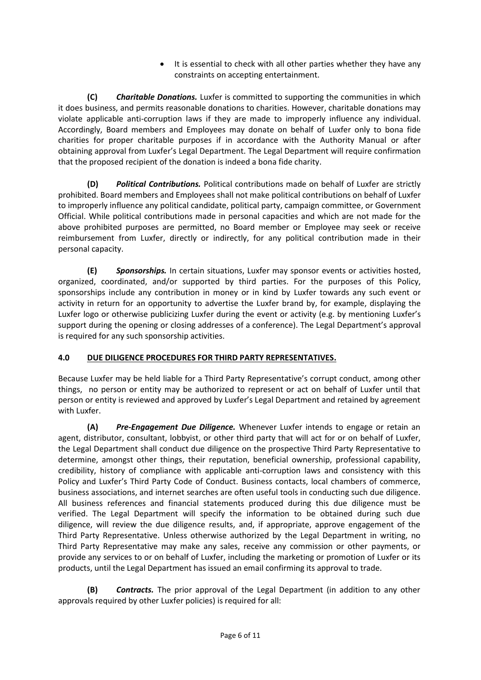It is essential to check with all other parties whether they have any constraints on accepting entertainment.

**(C)** *Charitable Donations.* Luxfer is committed to supporting the communities in which it does business, and permits reasonable donations to charities. However, charitable donations may violate applicable anti-corruption laws if they are made to improperly influence any individual. Accordingly, Board members and Employees may donate on behalf of Luxfer only to bona fide charities for proper charitable purposes if in accordance with the Authority Manual or after obtaining approval from Luxfer's Legal Department. The Legal Department will require confirmation that the proposed recipient of the donation is indeed a bona fide charity.

**(D)** *Political Contributions.* Political contributions made on behalf of Luxfer are strictly prohibited. Board members and Employees shall not make political contributions on behalf of Luxfer to improperly influence any political candidate, political party, campaign committee, or Government Official. While political contributions made in personal capacities and which are not made for the above prohibited purposes are permitted, no Board member or Employee may seek or receive reimbursement from Luxfer, directly or indirectly, for any political contribution made in their personal capacity.

**(E)** *Sponsorships.* In certain situations, Luxfer may sponsor events or activities hosted, organized, coordinated, and/or supported by third parties. For the purposes of this Policy, sponsorships include any contribution in money or in kind by Luxfer towards any such event or activity in return for an opportunity to advertise the Luxfer brand by, for example, displaying the Luxfer logo or otherwise publicizing Luxfer during the event or activity (e.g. by mentioning Luxfer's support during the opening or closing addresses of a conference). The Legal Department's approval is required for any such sponsorship activities.

# **4.0 DUE DILIGENCE PROCEDURES FOR THIRD PARTY REPRESENTATIVES.**

Because Luxfer may be held liable for a Third Party Representative's corrupt conduct, among other things, no person or entity may be authorized to represent or act on behalf of Luxfer until that person or entity is reviewed and approved by Luxfer's Legal Department and retained by agreement with Luxfer.

**(A)** *Pre-Engagement Due Diligence.* Whenever Luxfer intends to engage or retain an agent, distributor, consultant, lobbyist, or other third party that will act for or on behalf of Luxfer, the Legal Department shall conduct due diligence on the prospective Third Party Representative to determine, amongst other things, their reputation, beneficial ownership, professional capability, credibility, history of compliance with applicable anti-corruption laws and consistency with this Policy and Luxfer's Third Party Code of Conduct. Business contacts, local chambers of commerce, business associations, and internet searches are often useful tools in conducting such due diligence. All business references and financial statements produced during this due diligence must be verified. The Legal Department will specify the information to be obtained during such due diligence, will review the due diligence results, and, if appropriate, approve engagement of the Third Party Representative. Unless otherwise authorized by the Legal Department in writing, no Third Party Representative may make any sales, receive any commission or other payments, or provide any services to or on behalf of Luxfer, including the marketing or promotion of Luxfer or its products, until the Legal Department has issued an email confirming its approval to trade.

**(B)** *Contracts.* The prior approval of the Legal Department (in addition to any other approvals required by other Luxfer policies) is required for all: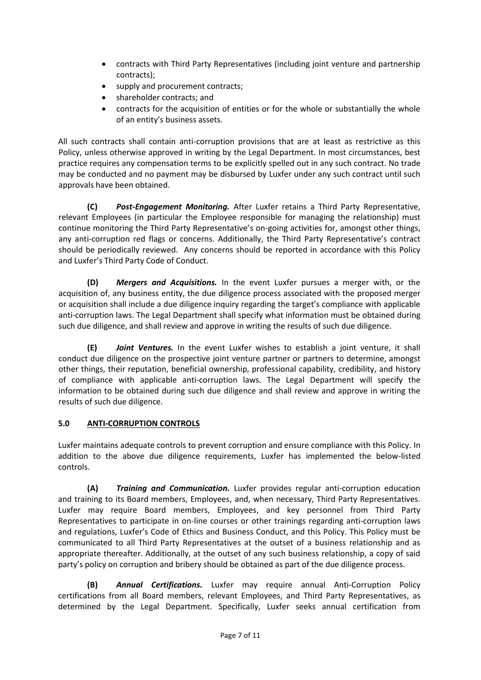- contracts with Third Party Representatives (including joint venture and partnership contracts);
- supply and procurement contracts;
- shareholder contracts; and
- contracts for the acquisition of entities or for the whole or substantially the whole of an entity's business assets.

All such contracts shall contain anti-corruption provisions that are at least as restrictive as this Policy, unless otherwise approved in writing by the Legal Department. In most circumstances, best practice requires any compensation terms to be explicitly spelled out in any such contract. No trade may be conducted and no payment may be disbursed by Luxfer under any such contract until such approvals have been obtained.

**(C)** *Post-Engagement Monitoring.* After Luxfer retains a Third Party Representative, relevant Employees (in particular the Employee responsible for managing the relationship) must continue monitoring the Third Party Representative's on-going activities for, amongst other things, any anti-corruption red flags or concerns. Additionally, the Third Party Representative's contract should be periodically reviewed. Any concerns should be reported in accordance with this Policy and Luxfer's Third Party Code of Conduct.

**(D)** *Mergers and Acquisitions.* In the event Luxfer pursues a merger with, or the acquisition of, any business entity, the due diligence process associated with the proposed merger or acquisition shall include a due diligence inquiry regarding the target's compliance with applicable anti-corruption laws. The Legal Department shall specify what information must be obtained during such due diligence, and shall review and approve in writing the results of such due diligence.

**(E)** *Joint Ventures.* In the event Luxfer wishes to establish a joint venture, it shall conduct due diligence on the prospective joint venture partner or partners to determine, amongst other things, their reputation, beneficial ownership, professional capability, credibility, and history of compliance with applicable anti-corruption laws. The Legal Department will specify the information to be obtained during such due diligence and shall review and approve in writing the results of such due diligence.

# **5.0 ANTI-CORRUPTION CONTROLS**

Luxfer maintains adequate controls to prevent corruption and ensure compliance with this Policy. In addition to the above due diligence requirements, Luxfer has implemented the below-listed controls.

**(A)** *Training and Communication.* Luxfer provides regular anti-corruption education and training to its Board members, Employees, and, when necessary, Third Party Representatives. Luxfer may require Board members, Employees, and key personnel from Third Party Representatives to participate in on-line courses or other trainings regarding anti-corruption laws and regulations, Luxfer's Code of Ethics and Business Conduct, and this Policy. This Policy must be communicated to all Third Party Representatives at the outset of a business relationship and as appropriate thereafter. Additionally, at the outset of any such business relationship, a copy of said party's policy on corruption and bribery should be obtained as part of the due diligence process.

**(B)** *Annual Certifications.* Luxfer may require annual Anti-Corruption Policy certifications from all Board members, relevant Employees, and Third Party Representatives, as determined by the Legal Department. Specifically, Luxfer seeks annual certification from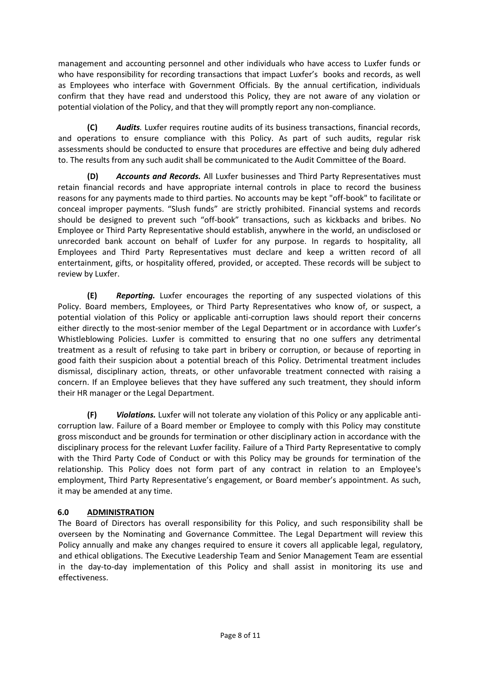management and accounting personnel and other individuals who have access to Luxfer funds or who have responsibility for recording transactions that impact Luxfer's books and records, as well as Employees who interface with Government Officials. By the annual certification, individuals confirm that they have read and understood this Policy, they are not aware of any violation or potential violation of the Policy, and that they will promptly report any non-compliance.

**(C)** *Audits.* Luxfer requires routine audits of its business transactions, financial records, and operations to ensure compliance with this Policy. As part of such audits, regular risk assessments should be conducted to ensure that procedures are effective and being duly adhered to. The results from any such audit shall be communicated to the Audit Committee of the Board.

**(D)** *Accounts and Records.* All Luxfer businesses and Third Party Representatives must retain financial records and have appropriate internal controls in place to record the business reasons for any payments made to third parties. No accounts may be kept "off-book" to facilitate or conceal improper payments. "Slush funds" are strictly prohibited. Financial systems and records should be designed to prevent such "off-book" transactions, such as kickbacks and bribes. No Employee or Third Party Representative should establish, anywhere in the world, an undisclosed or unrecorded bank account on behalf of Luxfer for any purpose. In regards to hospitality, all Employees and Third Party Representatives must declare and keep a written record of all entertainment, gifts, or hospitality offered, provided, or accepted. These records will be subject to review by Luxfer.

**(E)** *Reporting.* Luxfer encourages the reporting of any suspected violations of this Policy. Board members, Employees, or Third Party Representatives who know of, or suspect, a potential violation of this Policy or applicable anti-corruption laws should report their concerns either directly to the most-senior member of the Legal Department or in accordance with Luxfer's Whistleblowing Policies. Luxfer is committed to ensuring that no one suffers any detrimental treatment as a result of refusing to take part in bribery or corruption, or because of reporting in good faith their suspicion about a potential breach of this Policy. Detrimental treatment includes dismissal, disciplinary action, threats, or other unfavorable treatment connected with raising a concern. If an Employee believes that they have suffered any such treatment, they should inform their HR manager or the Legal Department.

**(F)** *Violations.* Luxfer will not tolerate any violation of this Policy or any applicable anticorruption law. Failure of a Board member or Employee to comply with this Policy may constitute gross misconduct and be grounds for termination or other disciplinary action in accordance with the disciplinary process for the relevant Luxfer facility. Failure of a Third Party Representative to comply with the Third Party Code of Conduct or with this Policy may be grounds for termination of the relationship. This Policy does not form part of any contract in relation to an Employee's employment, Third Party Representative's engagement, or Board member's appointment. As such, it may be amended at any time.

## **6.0 ADMINISTRATION**

The Board of Directors has overall responsibility for this Policy, and such responsibility shall be overseen by the Nominating and Governance Committee. The Legal Department will review this Policy annually and make any changes required to ensure it covers all applicable legal, regulatory, and ethical obligations. The Executive Leadership Team and Senior Management Team are essential in the day-to-day implementation of this Policy and shall assist in monitoring its use and effectiveness.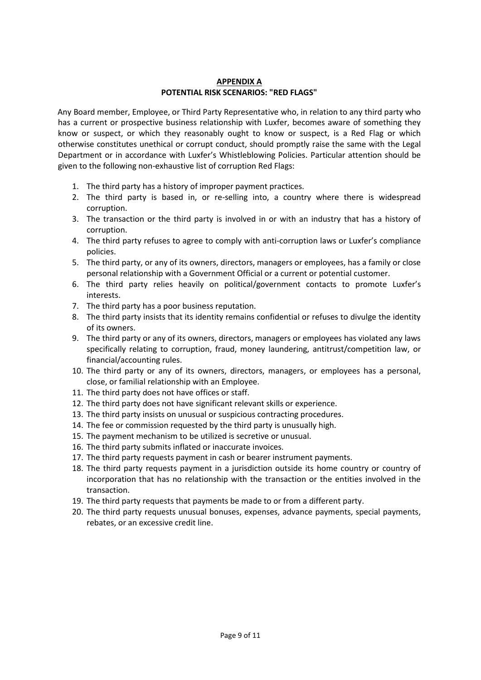## **APPENDIX A POTENTIAL RISK SCENARIOS: "RED FLAGS"**

Any Board member, Employee, or Third Party Representative who, in relation to any third party who has a current or prospective business relationship with Luxfer, becomes aware of something they know or suspect, or which they reasonably ought to know or suspect, is a Red Flag or which otherwise constitutes unethical or corrupt conduct, should promptly raise the same with the Legal Department or in accordance with Luxfer's Whistleblowing Policies. Particular attention should be given to the following non-exhaustive list of corruption Red Flags:

- 1. The third party has a history of improper payment practices.
- 2. The third party is based in, or re-selling into, a country where there is widespread corruption.
- 3. The transaction or the third party is involved in or with an industry that has a history of corruption.
- 4. The third party refuses to agree to comply with anti-corruption laws or Luxfer's compliance policies.
- 5. The third party, or any of its owners, directors, managers or employees, has a family or close personal relationship with a Government Official or a current or potential customer.
- 6. The third party relies heavily on political/government contacts to promote Luxfer's interests.
- 7. The third party has a poor business reputation.
- 8. The third party insists that its identity remains confidential or refuses to divulge the identity of its owners.
- 9. The third party or any of its owners, directors, managers or employees has violated any laws specifically relating to corruption, fraud, money laundering, antitrust/competition law, or financial/accounting rules.
- 10. The third party or any of its owners, directors, managers, or employees has a personal, close, or familial relationship with an Employee.
- 11. The third party does not have offices or staff.
- 12. The third party does not have significant relevant skills or experience.
- 13. The third party insists on unusual or suspicious contracting procedures.
- 14. The fee or commission requested by the third party is unusually high.
- 15. The payment mechanism to be utilized is secretive or unusual.
- 16. The third party submits inflated or inaccurate invoices.
- 17. The third party requests payment in cash or bearer instrument payments.
- 18. The third party requests payment in a jurisdiction outside its home country or country of incorporation that has no relationship with the transaction or the entities involved in the transaction.
- 19. The third party requests that payments be made to or from a different party.
- 20. The third party requests unusual bonuses, expenses, advance payments, special payments, rebates, or an excessive credit line.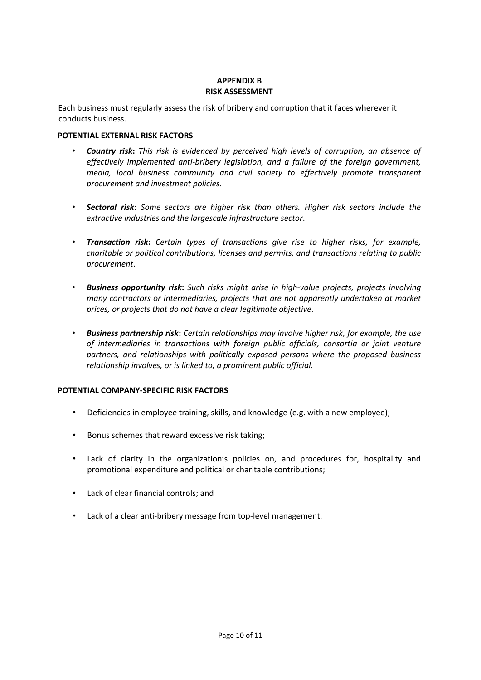## **APPENDIX B RISK ASSESSMENT**

Each business must regularly assess the risk of bribery and corruption that it faces wherever it conducts business.

## **POTENTIAL EXTERNAL RISK FACTORS**

- *Country risk***:** *This risk is evidenced by perceived high levels of corruption, an absence of effectively implemented anti-bribery legislation, and a failure of the foreign government, media, local business community and civil society to effectively promote transparent procurement and investment policies*.
- *Sectoral risk***:** *Some sectors are higher risk than others. Higher risk sectors include the extractive industries and the largescale infrastructure sector*.
- *Transaction risk***:** *Certain types of transactions give rise to higher risks, for example, charitable or political contributions, licenses and permits, and transactions relating to public procurement*.
- *Business opportunity risk***:** *Such risks might arise in high-value projects, projects involving many contractors or intermediaries, projects that are not apparently undertaken at market prices, or projects that do not have a clear legitimate objective*.
- *Business partnership risk***:** *Certain relationships may involve higher risk, for example, the use of intermediaries in transactions with foreign public officials, consortia or joint venture partners, and relationships with politically exposed persons where the proposed business relationship involves, or is linked to, a prominent public official*.

## **POTENTIAL COMPANY-SPECIFIC RISK FACTORS**

- Deficiencies in employee training, skills, and knowledge (e.g. with a new employee);
- Bonus schemes that reward excessive risk taking;
- Lack of clarity in the organization's policies on, and procedures for, hospitality and promotional expenditure and political or charitable contributions;
- Lack of clear financial controls; and
- Lack of a clear anti-bribery message from top-level management.